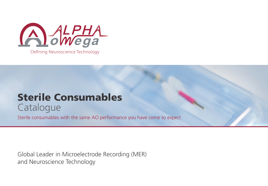

Sterile Consumables **Catalogue** 

Sterile consumables with the same AO performance you have come to expect

Global Leader in Microelectrode Recording (MER) and Neuroscience Technology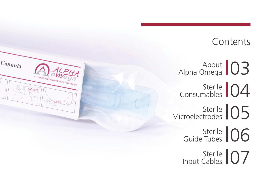#### **Contents**

About Alpha Omega **103** 

Cannula

Askers

Sterile Sterile 04

Sterile Sterile 105

> Sterile Sterile 06

Sterile Sterile 07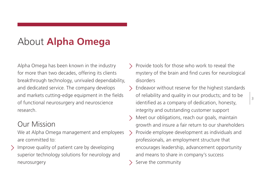## About **Alpha Omega**

Alpha Omega has been known in the industry for more than two decades, offering its clients breakthrough technology, unrivaled dependability, and dedicated service. The company develops and markets cutting-edge equipment in the fields of functional neurosurgery and neuroscience research.

#### Our Mission

We at Alpha Omega management and employees are committed to:

Improve quality of patient care by developing  $\searrow$ superior technology solutions for neurology and neurosurgery

- Provide tools for those who work to reveal the mystery of the brain and find cures for neurological disorders
- Endeavor without reserve for the highest standards  $\rightarrow$ of reliability and quality in our products; and to be identified as a company of dedication, honesty, integrity and outstanding customer support
- Meet our obligations, reach our goals, maintain growth and insure a fair return to our shareholders Provide employee development as individuals and  $\rightarrow$ professionals, an employment structure that encourages leadership, advancement opportunity and means to share in company's success
- Serve the community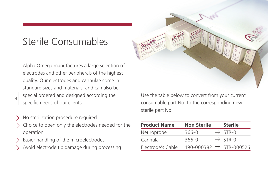## Sterile Consumables

Alpha Omega manufactures a large selection of electrodes and other peripherals of the highest quality. Our electrodes and cannulae come in standard sizes and materials, and can also be special ordered and designed according the specific needs of our clients.  $4 \mid$  special ordered and designed according the Use the table below to convert from your current

- No sterilization procedure required
- Choice to open only the electrodes needed for the operation
- Easier handling of the microelectrodes
- Avoid electrode tip damage during processing



consumable part No. to the corresponding new sterile part No.

| <b>Product Name</b> | <b>Non Sterile</b> | <b>Sterile</b>                      |
|---------------------|--------------------|-------------------------------------|
| Neuroprobe          | $366 - 0$          | $\rightarrow$ STR-0                 |
| Cannula             | 366-0              | $\rightarrow$ STR-0                 |
| Electrode's Cable   |                    | 190-000382 $\rightarrow$ STR-000526 |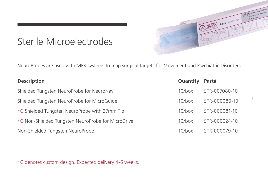## Sterile Microelectrodes

NeuroProbes are used with MER systems to map surgical targets for Movement and Psychiatric Disorders.

| <b>Description</b>                                 |           | Part#         |
|----------------------------------------------------|-----------|---------------|
| Shielded Tungsten NeuroProbe for NeuroNav          |           | STR-007080-10 |
| Shielded Tungsten NeuroProbe for MicroGuide        |           | STR-000080-10 |
| *C Shielded Tungsten NeuroProbe with 27mm Tip      | $10$ /box | STR-000081-10 |
| *C Non-Shielded Tungsten NeuroProbe for MicroDrive | $10$ /box | STR-000024-10 |
| Non-Shielded Tungsten NeuroProbe                   |           | STR-000079-10 |

\*C denotes custom design. Expected delivery 4-6 weeks.

ALPHA sterile neuroprobe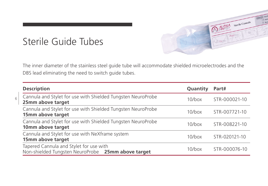## Sterile Guide Tubes

6



ALPHA Sterile Cannula

| <b>Description</b>                                                                            |           | Part#         |
|-----------------------------------------------------------------------------------------------|-----------|---------------|
| Cannula and Stylet for use with Shielded Tungsten NeuroProbe<br>25mm above target             | $10$ /box | STR-000021-10 |
| Cannula and Stylet for use with Shielded Tungsten NeuroProbe<br>15mm above target             | $10/h$ ox | STR-007721-10 |
| Cannula and Stylet for use with Shielded Tungsten NeuroProbe<br>10mm above target             |           | STR-008221-10 |
| Cannula and Stylet for use with NeXframe system<br>15mm above target                          | $10$ /box | STR-020121-10 |
| Tapered Cannula and Stylet for use with<br>Non-shielded Tungsten NeuroProbe 25mm above target | $10$ /box | STR-000076-10 |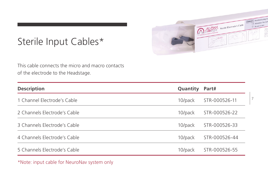

7

# Sterile Input Cables\*

This cable connects the micro and macro contacts of the electrode to the Headstage.

| <b>Description</b>           | Quantity | Part#         |
|------------------------------|----------|---------------|
| 1 Channel Electrode's Cable  | 10/pack  | STR-000526-11 |
| 2 Channels Electrode's Cable | 10/pack  | STR-000526-22 |
| 3 Channels Electrode's Cable | 10/pack  | STR-000526-33 |
| 4 Channels Electrode's Cable | 10/pack  | STR-000526-44 |
| 5 Channels Electrode's Cable | 10/pack  | STR-000526-55 |
|                              |          |               |

\*Note: input cable for NeuroNav system only